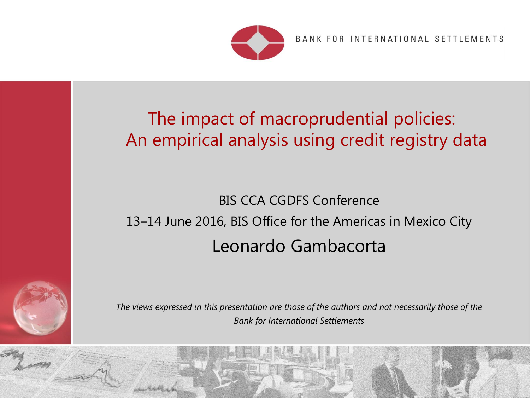

BANK FOR INTERNATIONAL SETTLEMENTS

 $\epsilon$ 

#### The impact of macroprudential policies: An empirical analysis using credit registry data

# BIS CCA CGDFS Conference 13–14 June 2016, BIS Office for the Americas in Mexico City Leonardo Gambacorta



*The views expressed in this presentation are those of the authors and not necessarily those of the Bank for International Settlements*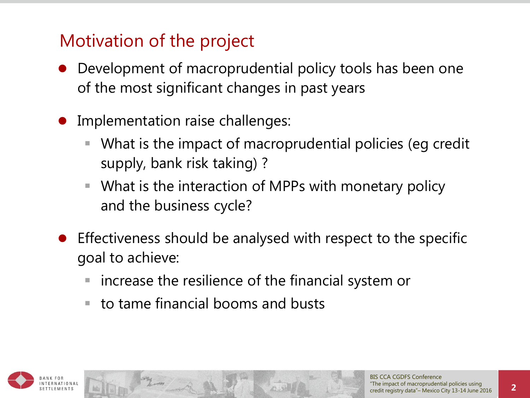### Motivation of the project

- Development of macroprudential policy tools has been one of the most significant changes in past years
- Implementation raise challenges:
	- What is the impact of macroprudential policies (eg credit supply, bank risk taking) ?
	- What is the interaction of MPPs with monetary policy and the business cycle?
- **•** Effectiveness should be analysed with respect to the specific goal to achieve:
	- increase the resilience of the financial system or
	- $\blacksquare$  to tame financial booms and busts

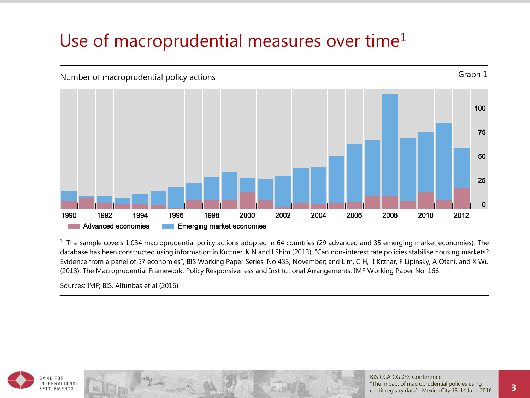### Use of macroprudential measures over time<sup>1</sup>



 $1$  The sample covers 1,034 macroprudential policy actions adopted in 64 countries (29 advanced and 35 emerging market economies). The database has been constructed using information in Kuttner, K N and I Shim (2013): "Can non-interest rate policies stabilise housing markets? Evidence from a panel of 57 economies", BIS Working Paper Series, No 433, November; and Lim, C H, I Krznar, F Lipinsky, A Otani, and X Wu (2013): The Macroprudential Framework: Policy Responsiveness and Institutional Arrangements, IMF Working Paper No. 166.

Sources: IMF; BIS. Altunbas et al (2016).



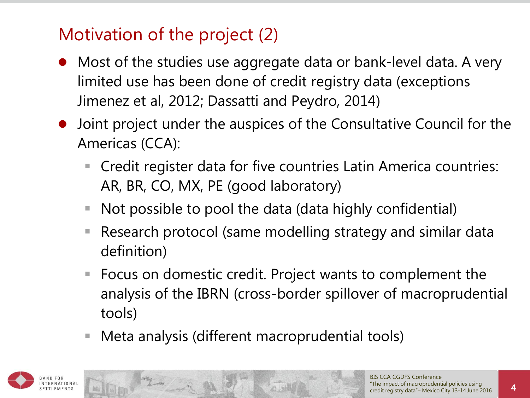## Motivation of the project (2)

- Most of the studies use aggregate data or bank-level data. A very limited use has been done of credit registry data (exceptions Jimenez et al, 2012; Dassatti and Peydro, 2014)
- Joint project under the auspices of the Consultative Council for the Americas (CCA):
	- Credit register data for five countries Latin America countries: AR, BR, CO, MX, PE (good laboratory)
	- Not possible to pool the data (data highly confidential)
	- Research protocol (same modelling strategy and similar data definition)
	- Focus on domestic credit. Project wants to complement the analysis of the IBRN (cross-border spillover of macroprudential tools)
	- Meta analysis (different macroprudential tools)

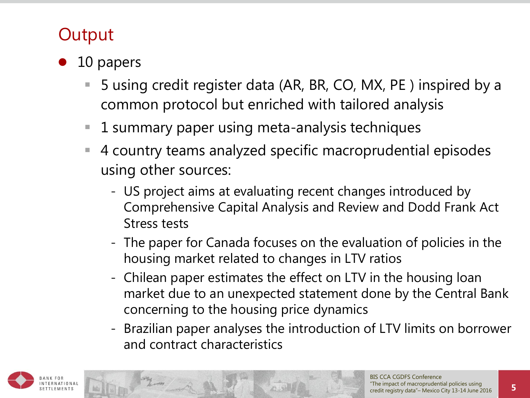### **Output**

- 10 papers
	- 5 using credit register data (AR, BR, CO, MX, PE ) inspired by a common protocol but enriched with tailored analysis
	- 1 summary paper using meta-analysis techniques
	- 4 country teams analyzed specific macroprudential episodes using other sources:
		- US project aims at evaluating recent changes introduced by Comprehensive Capital Analysis and Review and Dodd Frank Act Stress tests
		- The paper for Canada focuses on the evaluation of policies in the housing market related to changes in LTV ratios
		- Chilean paper estimates the effect on LTV in the housing loan market due to an unexpected statement done by the Central Bank concerning to the housing price dynamics
		- Brazilian paper analyses the introduction of LTV limits on borrower and contract characteristics